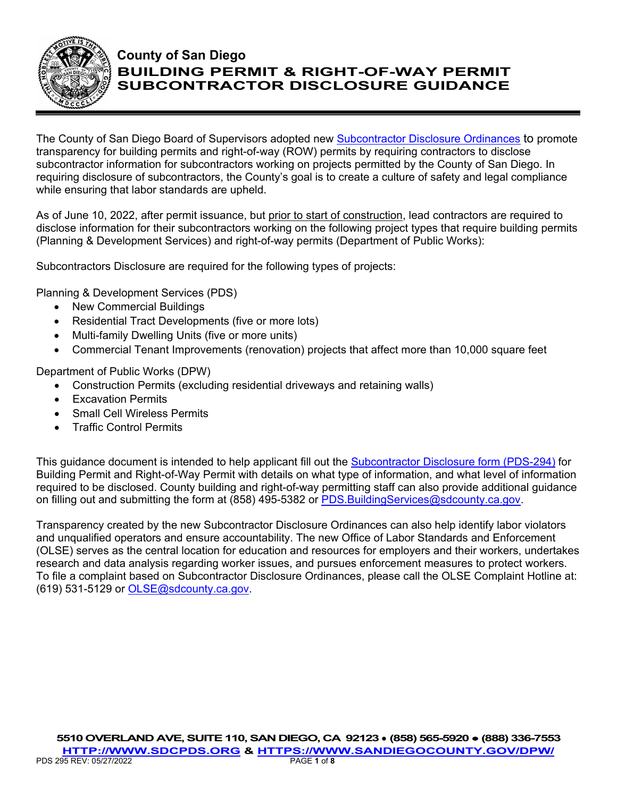

# **County of San Diego BUILDING PERMIT & RIGHT-OF-WAY PERMIT SUBCONTRACTOR DISCLOSURE GUIDANCE**

The County of San Diego Board of Supervisors adopted new [Subcontractor Disclosure Ordinances](https://codelibrary.amlegal.com/codes/san_diego/latest/sandiego_regs/0-0-0-71708) to promote transparency for building permits and right-of-way (ROW) permits by requiring contractors to disclose subcontractor information for subcontractors working on projects permitted by the County of San Diego. In requiring disclosure of subcontractors, the County's goal is to create a culture of safety and legal compliance while ensuring that labor standards are upheld.

As of June 10, 2022, after permit issuance, but prior to start of construction, lead contractors are required to disclose information for their subcontractors working on the following project types that require building permits (Planning & Development Services) and right-of-way permits (Department of Public Works):

Subcontractors Disclosure are required for the following types of projects:

Planning & Development Services (PDS)

- New Commercial Buildings
- Residential Tract Developments (five or more lots)
- Multi-family Dwelling Units (five or more units)
- Commercial Tenant Improvements (renovation) projects that affect more than 10,000 square feet

Department of Public Works (DPW)

- Construction Permits (excluding residential driveways and retaining walls)
- Excavation Permits
- **Small Cell Wireless Permits**
- Traffic Control Permits

This guidance document is intended to help applicant fill out the [Subcontractor Disclosure form \(PDS-294\)](file://ustlsncsd0004/LUEG/DPLU/Building%20Common/Forms/pds294%20Subcontractor%20Disclosure.pdf) for Building Permit and Right-of-Way Permit with details on what type of information, and what level of information required to be disclosed. County building and right-of-way permitting staff can also provide additional guidance on filling out and submitting the form at (858) 495-5382 or PDS. Building Services@sdcounty.ca.gov.

Transparency created by the new Subcontractor Disclosure Ordinances can also help identify labor violators and unqualified operators and ensure accountability. The new Office of Labor Standards and Enforcement (OLSE) serves as the central location for education and resources for employers and their workers, undertakes research and data analysis regarding worker issues, and pursues enforcement measures to protect workers. To file a complaint based on Subcontractor Disclosure Ordinances, please call the OLSE Complaint Hotline at: (619) 531-5129 or [OLSE@sdcounty.ca.gov.](mailto:OLSE@sdcounty.ca.gov)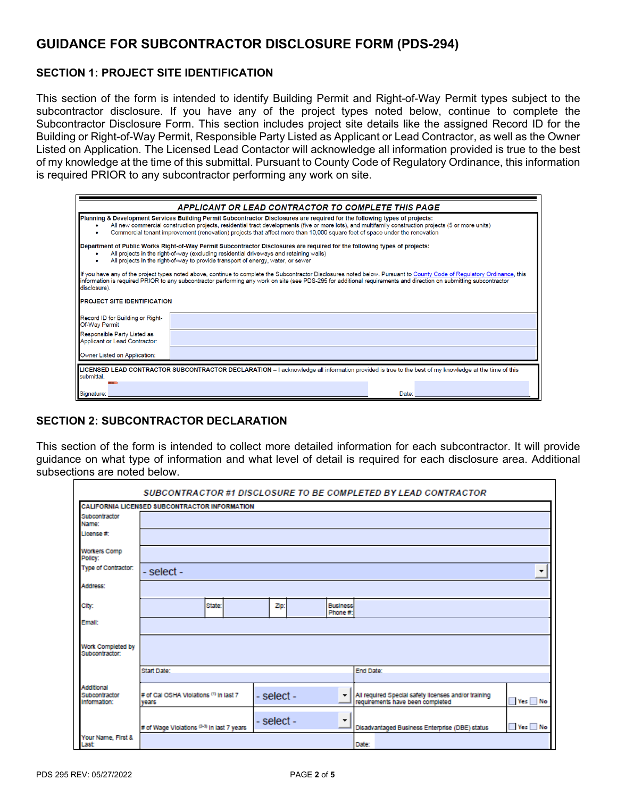## **GUIDANCE FOR SUBCONTRACTOR DISCLOSURE FORM (PDS-294)**

### **SECTION 1: PROJECT SITE IDENTIFICATION**

This section of the form is intended to identify Building Permit and Right-of-Way Permit types subject to the subcontractor disclosure. If you have any of the project types noted below, continue to complete the Subcontractor Disclosure Form. This section includes project site details like the assigned Record ID for the Building or Right-of-Way Permit, Responsible Party Listed as Applicant or Lead Contractor, as well as the Owner Listed on Application. The Licensed Lead Contactor will acknowledge all information provided is true to the best of my knowledge at the time of this submittal. Pursuant to County Code of Regulatory Ordinance, this information is required PRIOR to any subcontractor performing any work on site.

|                                                                                                                                                                                                                                                                                                                                                                                                                    | APPLICANT OR LEAD CONTRACTOR TO COMPLETE THIS PAGE                                                                                                  |  |  |  |  |
|--------------------------------------------------------------------------------------------------------------------------------------------------------------------------------------------------------------------------------------------------------------------------------------------------------------------------------------------------------------------------------------------------------------------|-----------------------------------------------------------------------------------------------------------------------------------------------------|--|--|--|--|
| Planning & Development Services Building Permit Subcontractor Disclosures are required for the following types of projects:<br>All new commercial construction projects, residential tract developments (five or more lots), and multifamily construction projects (5 or more units)<br>Commercial tenant improvement (renovation) projects that affect more than 10,000 square feet of space under the renovation |                                                                                                                                                     |  |  |  |  |
| Department of Public Works Right-of-Way Permit Subcontractor Disclosures are required for the following types of projects:<br>All projects in the right-of-way (excluding residential driveways and retaining walls)<br>All projects in the right-of-way to provide transport of energy, water, or sewer                                                                                                           |                                                                                                                                                     |  |  |  |  |
| If you have any of the project types noted above, continue to complete the Subcontractor Disclosures noted below. Pursuant to County Code of Regulatory Ordinance, this<br>information is required PRIOR to any subcontractor performing any work on site (see PDS-295 for additional requirements and direction on submitting subcontractor<br>disclosure).                                                       |                                                                                                                                                     |  |  |  |  |
| <b>PROJECT SITE IDENTIFICATION</b>                                                                                                                                                                                                                                                                                                                                                                                 |                                                                                                                                                     |  |  |  |  |
| Record ID for Building or Right-<br>Of-Way Permit                                                                                                                                                                                                                                                                                                                                                                  |                                                                                                                                                     |  |  |  |  |
| Responsible Party Listed as<br>Applicant or Lead Contractor:                                                                                                                                                                                                                                                                                                                                                       |                                                                                                                                                     |  |  |  |  |
| Owner Listed on Application:                                                                                                                                                                                                                                                                                                                                                                                       |                                                                                                                                                     |  |  |  |  |
| submittal.                                                                                                                                                                                                                                                                                                                                                                                                         | LICENSED LEAD CONTRACTOR SUBCONTRACTOR DECLARATION - I acknowledge all information provided is true to the best of my knowledge at the time of this |  |  |  |  |
| Signature:                                                                                                                                                                                                                                                                                                                                                                                                         | Date:                                                                                                                                               |  |  |  |  |

### **SECTION 2: SUBCONTRACTOR DECLARATION**

This section of the form is intended to collect more detailed information for each subcontractor. It will provide guidance on what type of information and what level of detail is required for each disclosure area. Additional subsections are noted below.

| SUBCONTRACTOR #1 DISCLOSURE TO BE COMPLETED BY LEAD CONTRACTOR |                                                 |            |                             |                                                                                          |                                      |  |
|----------------------------------------------------------------|-------------------------------------------------|------------|-----------------------------|------------------------------------------------------------------------------------------|--------------------------------------|--|
| CALIFORNIA LICENSED SUBCONTRACTOR INFORMATION                  |                                                 |            |                             |                                                                                          |                                      |  |
| Subcontractor<br>Name:                                         |                                                 |            |                             |                                                                                          |                                      |  |
| License #:                                                     |                                                 |            |                             |                                                                                          |                                      |  |
| <b>Workers Comp</b><br>Policy:                                 |                                                 |            |                             |                                                                                          |                                      |  |
| Type of Contractor:                                            | - select -<br>$\overline{\phantom{a}}$          |            |                             |                                                                                          |                                      |  |
| Address:                                                       |                                                 |            |                             |                                                                                          |                                      |  |
| City:                                                          | State:                                          | ZD.        | <b>Business</b><br>Phone #: |                                                                                          |                                      |  |
| Emall:                                                         |                                                 |            |                             |                                                                                          |                                      |  |
| Work Completed by<br>Subcontractor:                            |                                                 |            |                             |                                                                                          |                                      |  |
|                                                                | Start Date:                                     |            |                             | End Date:                                                                                |                                      |  |
|                                                                |                                                 |            |                             |                                                                                          |                                      |  |
| Additional<br>Subcontractor<br>Information:                    | # of Cal OSHA Violations (1) in last 7<br>vears | - select - | ۰                           | All required Special safety licenses and/or training<br>requirements have been completed | Yes <sup>No</sup>                    |  |
|                                                                | # of Wage Violations (2-3) in last 7 years      | - select - | $\overline{\phantom{a}}$    | Disadvantaged Business Enterprise (DBE) status                                           | $\blacksquare$ Yes $\blacksquare$ No |  |
| Your Name, First &<br>Last                                     |                                                 |            |                             | Date:                                                                                    |                                      |  |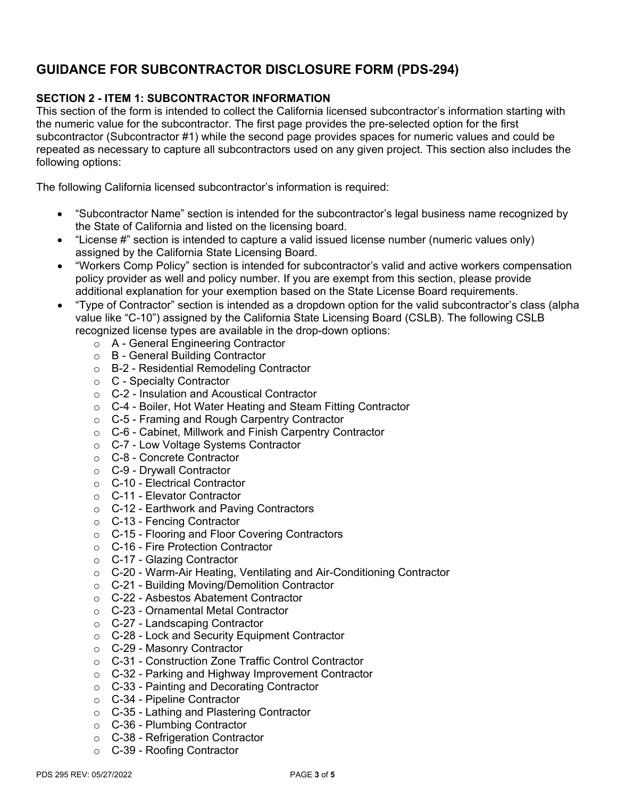## **GUIDANCE FOR SUBCONTRACTOR DISCLOSURE FORM (PDS-294)**

### **SECTION 2 - ITEM 1: SUBCONTRACTOR INFORMATION**

This section of the form is intended to collect the California licensed subcontractor's information starting with the numeric value for the subcontractor. The first page provides the pre-selected option for the first subcontractor (Subcontractor #1) while the second page provides spaces for numeric values and could be repeated as necessary to capture all subcontractors used on any given project. This section also includes the following options:

The following California licensed subcontractor's information is required:

- "Subcontractor Name" section is intended for the subcontractor's legal business name recognized by the State of California and listed on the licensing board.
- "License #" section is intended to capture a valid issued license number (numeric values only) assigned by the California State Licensing Board.
- "Workers Comp Policy" section is intended for subcontractor's valid and active workers compensation policy provider as well and policy number. If you are exempt from this section, please provide additional explanation for your exemption based on the State License Board requirements.
- "Type of Contractor" section is intended as a dropdown option for the valid subcontractor's class (alpha value like "C-10") assigned by the California State Licensing Board (CSLB). The following CSLB recognized license types are available in the drop-down options:
	- o A General Engineering Contractor
	- o B General Building Contractor
	- o B-2 Residential Remodeling Contractor
	- o C Specialty Contractor
	- o C-2 Insulation and Acoustical Contractor
	- o C-4 Boiler, Hot Water Heating and Steam Fitting Contractor
	- o C-5 Framing and Rough Carpentry Contractor
	- o C-6 Cabinet, Millwork and Finish Carpentry Contractor
	- o C-7 Low Voltage Systems Contractor
	- o C-8 Concrete Contractor
	- o C-9 Drywall Contractor
	- o C-10 Electrical Contractor
	- o C-11 Elevator Contractor
	- o C-12 Earthwork and Paving Contractors
	- o C-13 Fencing Contractor
	- o C-15 Flooring and Floor Covering Contractors
	- o C-16 Fire Protection Contractor
	- o C-17 Glazing Contractor
	- o C-20 Warm-Air Heating, Ventilating and Air-Conditioning Contractor
	- o C-21 Building Moving/Demolition Contractor
	- o C-22 Asbestos Abatement Contractor
	- o C-23 Ornamental Metal Contractor
	- o C-27 Landscaping Contractor
	- o C-28 Lock and Security Equipment Contractor
	- o C-29 Masonry Contractor
	- o C-31 Construction Zone Traffic Control Contractor
	- o C-32 Parking and Highway Improvement Contractor
	- o C-33 Painting and Decorating Contractor
	- o C-34 Pipeline Contractor
	- o C-35 Lathing and Plastering Contractor
	- o C-36 Plumbing Contractor
	- o C-38 Refrigeration Contractor
	- o C-39 Roofing Contractor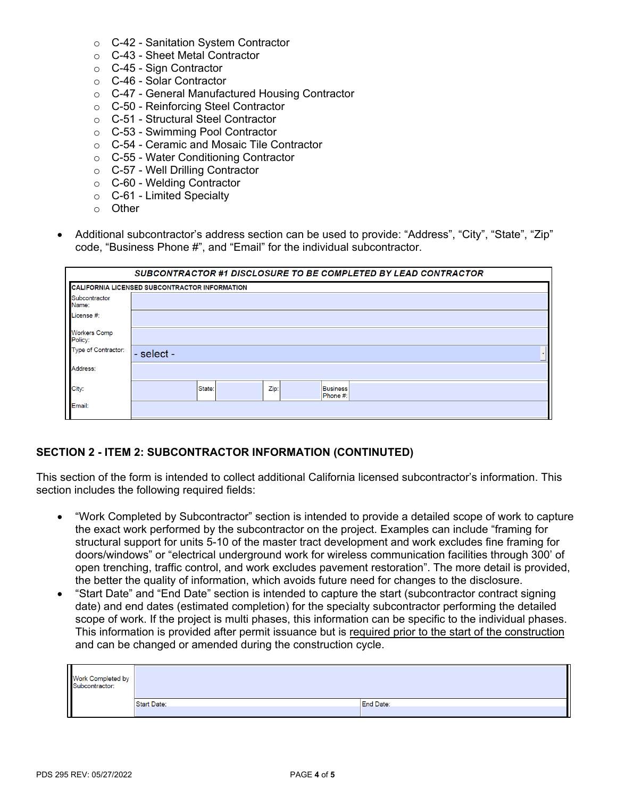- o C-42 Sanitation System Contractor
- o C-43 Sheet Metal Contractor
- o C-45 Sign Contractor
- o C-46 Solar Contractor
- o C-47 General Manufactured Housing Contractor
- o C-50 Reinforcing Steel Contractor
- o C-51 Structural Steel Contractor
- o C-53 Swimming Pool Contractor
- o C-54 Ceramic and Mosaic Tile Contractor
- o C-55 Water Conditioning Contractor
- o C-57 Well Drilling Contractor
- o C-60 Welding Contractor
- o C-61 Limited Specialty
- o Other
- Additional subcontractor's address section can be used to provide: "Address", "City", "State", "Zip" code, "Business Phone #", and "Email" for the individual subcontractor.

| SUBCONTRACTOR #1 DISCLOSURE TO BE COMPLETED BY LEAD CONTRACTOR |                                               |  |  |  |  |  |
|----------------------------------------------------------------|-----------------------------------------------|--|--|--|--|--|
|                                                                | CALIFORNIA LICENSED SUBCONTRACTOR INFORMATION |  |  |  |  |  |
| Subcontractor<br>Name:                                         |                                               |  |  |  |  |  |
| License #:                                                     |                                               |  |  |  |  |  |
| <b>Workers Comp</b><br>Policy:                                 |                                               |  |  |  |  |  |
| Type of Contractor:                                            | - select -                                    |  |  |  |  |  |
| Address:                                                       |                                               |  |  |  |  |  |
| City:                                                          | State:<br>Zip:<br><b>Business</b><br>Phone #: |  |  |  |  |  |
| Email:                                                         |                                               |  |  |  |  |  |

### **SECTION 2 - ITEM 2: SUBCONTRACTOR INFORMATION (CONTINUTED)**

This section of the form is intended to collect additional California licensed subcontractor's information. This section includes the following required fields:

- "Work Completed by Subcontractor" section is intended to provide a detailed scope of work to capture the exact work performed by the subcontractor on the project. Examples can include "framing for structural support for units 5-10 of the master tract development and work excludes fine framing for doors/windows" or "electrical underground work for wireless communication facilities through 300' of open trenching, traffic control, and work excludes pavement restoration". The more detail is provided, the better the quality of information, which avoids future need for changes to the disclosure.
- "Start Date" and "End Date" section is intended to capture the start (subcontractor contract signing date) and end dates (estimated completion) for the specialty subcontractor performing the detailed scope of work. If the project is multi phases, this information can be specific to the individual phases. This information is provided after permit issuance but is required prior to the start of the construction and can be changed or amended during the construction cycle.

| Work Completed by<br>Subcontractor: |                    |                  |
|-------------------------------------|--------------------|------------------|
|                                     | <b>Start Date:</b> | <b>End Date:</b> |
|                                     |                    |                  |